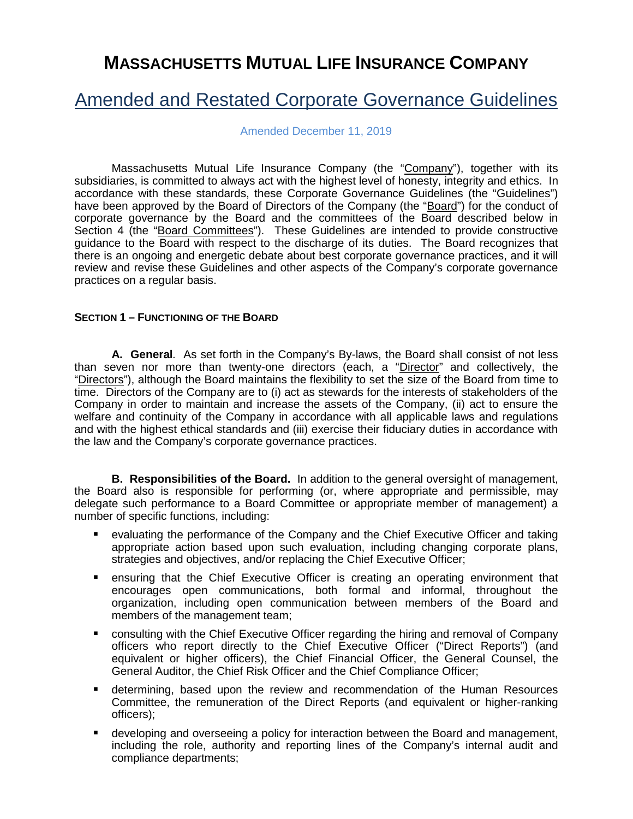# **MASSACHUSETTS MUTUAL LIFE INSURANCE COMPANY**

# Amended and Restated Corporate Governance Guidelines

Amended December 11, 2019

Massachusetts Mutual Life Insurance Company (the "Company"), together with its subsidiaries, is committed to always act with the highest level of honesty, integrity and ethics. In accordance with these standards, these Corporate Governance Guidelines (the "Guidelines") have been approved by the Board of Directors of the Company (the "Board") for the conduct of corporate governance by the Board and the committees of the Board described below in Section 4 (the "Board Committees"). These Guidelines are intended to provide constructive guidance to the Board with respect to the discharge of its duties. The Board recognizes that there is an ongoing and energetic debate about best corporate governance practices, and it will review and revise these Guidelines and other aspects of the Company's corporate governance practices on a regular basis.

### **SECTION 1 – FUNCTIONING OF THE BOARD**

**A. General***.* As set forth in the Company's By-laws, the Board shall consist of not less than seven nor more than twenty-one directors (each, a "Director" and collectively, the "Directors"), although the Board maintains the flexibility to set the size of the Board from time to time. Directors of the Company are to (i) act as stewards for the interests of stakeholders of the Company in order to maintain and increase the assets of the Company, (ii) act to ensure the welfare and continuity of the Company in accordance with all applicable laws and regulations and with the highest ethical standards and (iii) exercise their fiduciary duties in accordance with the law and the Company's corporate governance practices.

**B. Responsibilities of the Board.** In addition to the general oversight of management, the Board also is responsible for performing (or, where appropriate and permissible, may delegate such performance to a Board Committee or appropriate member of management) a number of specific functions, including:

- evaluating the performance of the Company and the Chief Executive Officer and taking appropriate action based upon such evaluation, including changing corporate plans, strategies and objectives, and/or replacing the Chief Executive Officer;
- ensuring that the Chief Executive Officer is creating an operating environment that encourages open communications, both formal and informal, throughout the organization, including open communication between members of the Board and members of the management team;
- **E** consulting with the Chief Executive Officer regarding the hiring and removal of Company officers who report directly to the Chief Executive Officer ("Direct Reports") (and equivalent or higher officers), the Chief Financial Officer, the General Counsel, the General Auditor, the Chief Risk Officer and the Chief Compliance Officer;
- determining, based upon the review and recommendation of the Human Resources Committee, the remuneration of the Direct Reports (and equivalent or higher-ranking officers);
- developing and overseeing a policy for interaction between the Board and management, including the role, authority and reporting lines of the Company's internal audit and compliance departments;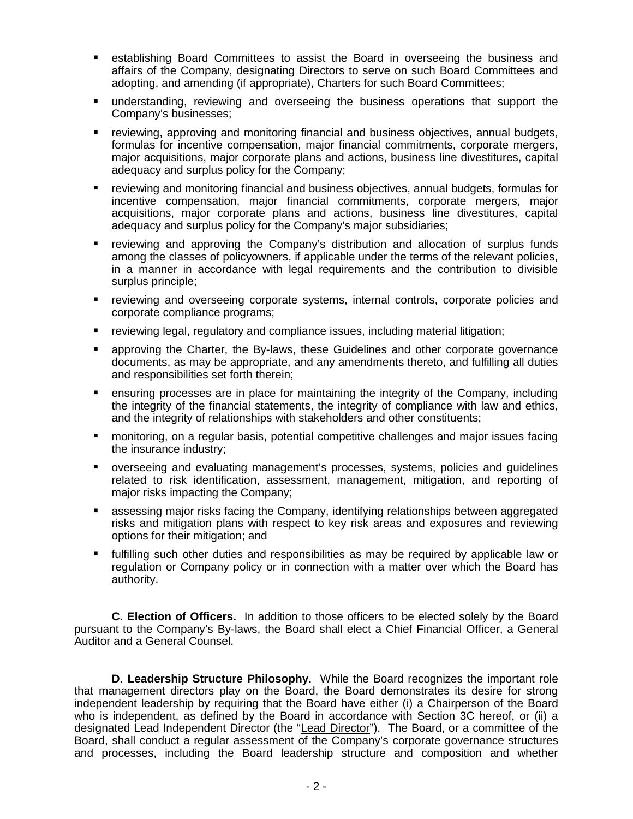- establishing Board Committees to assist the Board in overseeing the business and affairs of the Company, designating Directors to serve on such Board Committees and adopting, and amending (if appropriate), Charters for such Board Committees;
- understanding, reviewing and overseeing the business operations that support the Company's businesses;
- reviewing, approving and monitoring financial and business objectives, annual budgets, formulas for incentive compensation, major financial commitments, corporate mergers, major acquisitions, major corporate plans and actions, business line divestitures, capital adequacy and surplus policy for the Company;
- reviewing and monitoring financial and business objectives, annual budgets, formulas for incentive compensation, major financial commitments, corporate mergers, major acquisitions, major corporate plans and actions, business line divestitures, capital adequacy and surplus policy for the Company's major subsidiaries;
- reviewing and approving the Company's distribution and allocation of surplus funds among the classes of policyowners, if applicable under the terms of the relevant policies, in a manner in accordance with legal requirements and the contribution to divisible surplus principle;
- reviewing and overseeing corporate systems, internal controls, corporate policies and corporate compliance programs;
- reviewing legal, regulatory and compliance issues, including material litigation;
- approving the Charter, the By-laws, these Guidelines and other corporate governance documents, as may be appropriate, and any amendments thereto, and fulfilling all duties and responsibilities set forth therein;
- **EXT** ensuring processes are in place for maintaining the integrity of the Company, including the integrity of the financial statements, the integrity of compliance with law and ethics, and the integrity of relationships with stakeholders and other constituents;
- monitoring, on a regular basis, potential competitive challenges and major issues facing the insurance industry;
- overseeing and evaluating management's processes, systems, policies and guidelines related to risk identification, assessment, management, mitigation, and reporting of major risks impacting the Company;
- assessing major risks facing the Company, identifying relationships between aggregated risks and mitigation plans with respect to key risk areas and exposures and reviewing options for their mitigation; and
- fulfilling such other duties and responsibilities as may be required by applicable law or regulation or Company policy or in connection with a matter over which the Board has authority.

**C. Election of Officers.** In addition to those officers to be elected solely by the Board pursuant to the Company's By-laws, the Board shall elect a Chief Financial Officer, a General Auditor and a General Counsel.

**D. Leadership Structure Philosophy.** While the Board recognizes the important role that management directors play on the Board, the Board demonstrates its desire for strong independent leadership by requiring that the Board have either (i) a Chairperson of the Board who is independent, as defined by the Board in accordance with Section 3C hereof, or (ii) a designated Lead Independent Director (the "Lead Director"). The Board, or a committee of the Board, shall conduct a regular assessment of the Company's corporate governance structures and processes, including the Board leadership structure and composition and whether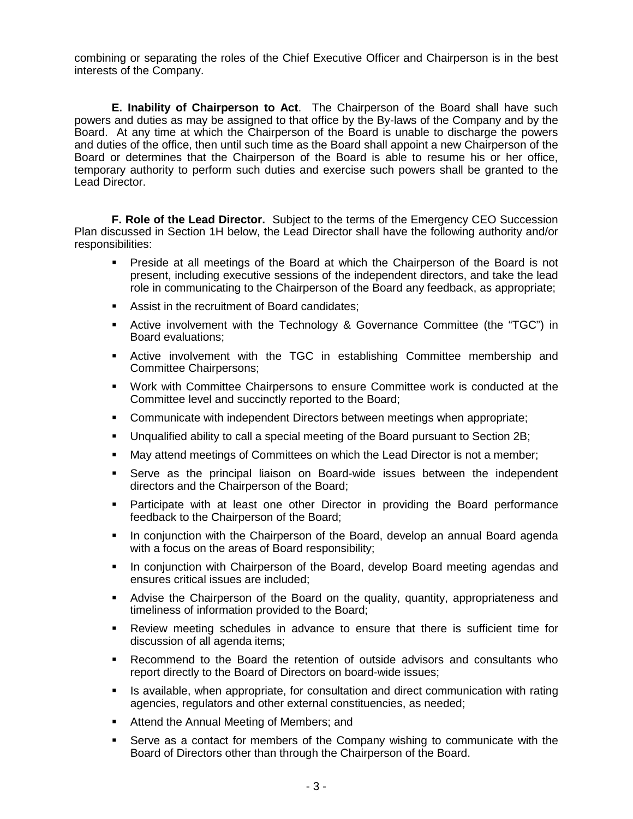combining or separating the roles of the Chief Executive Officer and Chairperson is in the best interests of the Company.

**E. Inability of Chairperson to Act**. The Chairperson of the Board shall have such powers and duties as may be assigned to that office by the By-laws of the Company and by the Board. At any time at which the Chairperson of the Board is unable to discharge the powers and duties of the office, then until such time as the Board shall appoint a new Chairperson of the Board or determines that the Chairperson of the Board is able to resume his or her office, temporary authority to perform such duties and exercise such powers shall be granted to the Lead Director.

**F. Role of the Lead Director.** Subject to the terms of the Emergency CEO Succession Plan discussed in Section 1H below, the Lead Director shall have the following authority and/or responsibilities:

- Preside at all meetings of the Board at which the Chairperson of the Board is not present, including executive sessions of the independent directors, and take the lead role in communicating to the Chairperson of the Board any feedback, as appropriate;
- **Assist in the recruitment of Board candidates:**
- Active involvement with the Technology & Governance Committee (the "TGC") in Board evaluations;
- Active involvement with the TGC in establishing Committee membership and Committee Chairpersons;
- Work with Committee Chairpersons to ensure Committee work is conducted at the Committee level and succinctly reported to the Board;
- Communicate with independent Directors between meetings when appropriate;
- Unqualified ability to call a special meeting of the Board pursuant to Section 2B;
- May attend meetings of Committees on which the Lead Director is not a member;
- Serve as the principal liaison on Board-wide issues between the independent directors and the Chairperson of the Board;
- Participate with at least one other Director in providing the Board performance feedback to the Chairperson of the Board;
- In conjunction with the Chairperson of the Board, develop an annual Board agenda with a focus on the areas of Board responsibility;
- In conjunction with Chairperson of the Board, develop Board meeting agendas and ensures critical issues are included;
- Advise the Chairperson of the Board on the quality, quantity, appropriateness and timeliness of information provided to the Board;
- Review meeting schedules in advance to ensure that there is sufficient time for discussion of all agenda items;
- Recommend to the Board the retention of outside advisors and consultants who report directly to the Board of Directors on board-wide issues;
- **If are is available, when appropriate, for consultation and direct communication with rating** agencies, regulators and other external constituencies, as needed;
- **Attend the Annual Meeting of Members; and**
- Serve as a contact for members of the Company wishing to communicate with the Board of Directors other than through the Chairperson of the Board.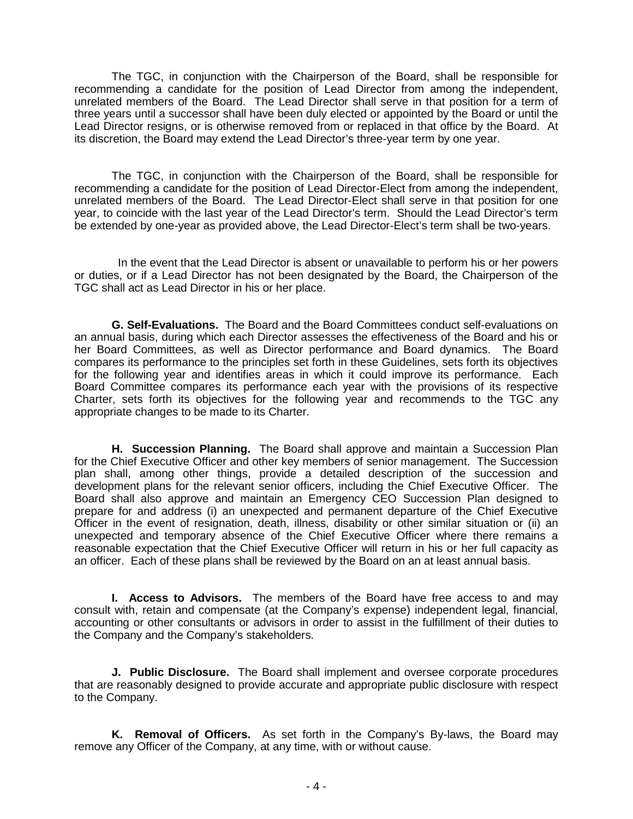The TGC, in conjunction with the Chairperson of the Board, shall be responsible for recommending a candidate for the position of Lead Director from among the independent, unrelated members of the Board. The Lead Director shall serve in that position for a term of three years until a successor shall have been duly elected or appointed by the Board or until the Lead Director resigns, or is otherwise removed from or replaced in that office by the Board. At its discretion, the Board may extend the Lead Director's three-year term by one year.

The TGC, in conjunction with the Chairperson of the Board, shall be responsible for recommending a candidate for the position of Lead Director-Elect from among the independent, unrelated members of the Board. The Lead Director-Elect shall serve in that position for one year, to coincide with the last year of the Lead Director's term. Should the Lead Director's term be extended by one-year as provided above, the Lead Director-Elect's term shall be two-years.

 In the event that the Lead Director is absent or unavailable to perform his or her powers or duties, or if a Lead Director has not been designated by the Board, the Chairperson of the TGC shall act as Lead Director in his or her place.

**G. Self-Evaluations.** The Board and the Board Committees conduct self-evaluations on an annual basis, during which each Director assesses the effectiveness of the Board and his or her Board Committees, as well as Director performance and Board dynamics. The Board compares its performance to the principles set forth in these Guidelines, sets forth its objectives for the following year and identifies areas in which it could improve its performance. Each Board Committee compares its performance each year with the provisions of its respective Charter, sets forth its objectives for the following year and recommends to the TGC any appropriate changes to be made to its Charter.

**H. Succession Planning.** The Board shall approve and maintain a Succession Plan for the Chief Executive Officer and other key members of senior management. The Succession plan shall, among other things, provide a detailed description of the succession and development plans for the relevant senior officers, including the Chief Executive Officer. The Board shall also approve and maintain an Emergency CEO Succession Plan designed to prepare for and address (i) an unexpected and permanent departure of the Chief Executive Officer in the event of resignation, death, illness, disability or other similar situation or (ii) an unexpected and temporary absence of the Chief Executive Officer where there remains a reasonable expectation that the Chief Executive Officer will return in his or her full capacity as an officer. Each of these plans shall be reviewed by the Board on an at least annual basis.

**I. Access to Advisors.** The members of the Board have free access to and may consult with, retain and compensate (at the Company's expense) independent legal, financial, accounting or other consultants or advisors in order to assist in the fulfillment of their duties to the Company and the Company's stakeholders.

**J. Public Disclosure.** The Board shall implement and oversee corporate procedures that are reasonably designed to provide accurate and appropriate public disclosure with respect to the Company.

**K. Removal of Officers.** As set forth in the Company's By-laws, the Board may remove any Officer of the Company, at any time, with or without cause.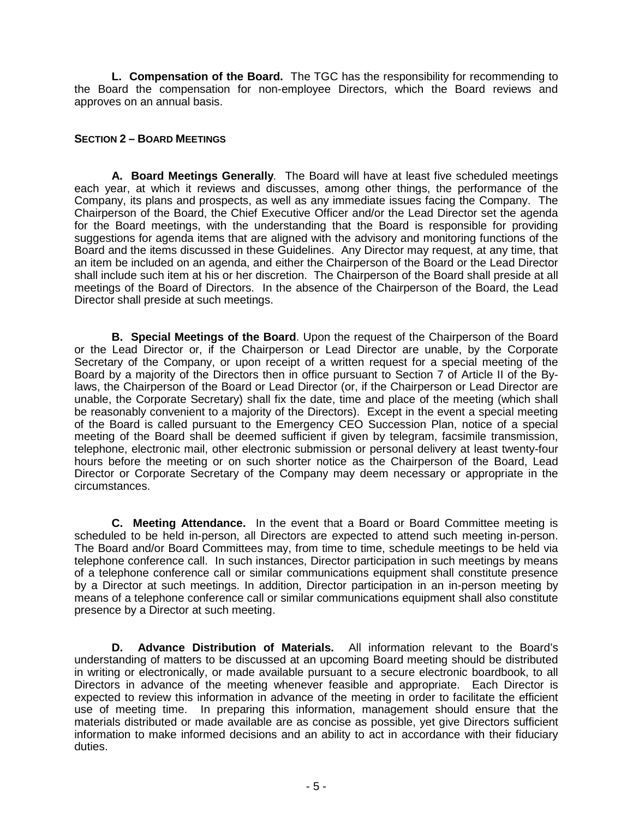**L. Compensation of the Board.** The TGC has the responsibility for recommending to the Board the compensation for non-employee Directors, which the Board reviews and approves on an annual basis.

## **SECTION 2 – BOARD MEETINGS**

**A. Board Meetings Generally***.* The Board will have at least five scheduled meetings each year, at which it reviews and discusses, among other things, the performance of the Company, its plans and prospects, as well as any immediate issues facing the Company. The Chairperson of the Board, the Chief Executive Officer and/or the Lead Director set the agenda for the Board meetings, with the understanding that the Board is responsible for providing suggestions for agenda items that are aligned with the advisory and monitoring functions of the Board and the items discussed in these Guidelines. Any Director may request, at any time, that an item be included on an agenda, and either the Chairperson of the Board or the Lead Director shall include such item at his or her discretion. The Chairperson of the Board shall preside at all meetings of the Board of Directors. In the absence of the Chairperson of the Board, the Lead Director shall preside at such meetings.

**B. Special Meetings of the Board**. Upon the request of the Chairperson of the Board or the Lead Director or, if the Chairperson or Lead Director are unable, by the Corporate Secretary of the Company, or upon receipt of a written request for a special meeting of the Board by a majority of the Directors then in office pursuant to Section 7 of Article II of the Bylaws, the Chairperson of the Board or Lead Director (or, if the Chairperson or Lead Director are unable, the Corporate Secretary) shall fix the date, time and place of the meeting (which shall be reasonably convenient to a majority of the Directors). Except in the event a special meeting of the Board is called pursuant to the Emergency CEO Succession Plan, notice of a special meeting of the Board shall be deemed sufficient if given by telegram, facsimile transmission, telephone, electronic mail, other electronic submission or personal delivery at least twenty-four hours before the meeting or on such shorter notice as the Chairperson of the Board, Lead Director or Corporate Secretary of the Company may deem necessary or appropriate in the circumstances.

**C. Meeting Attendance.** In the event that a Board or Board Committee meeting is scheduled to be held in-person, all Directors are expected to attend such meeting in-person. The Board and/or Board Committees may, from time to time, schedule meetings to be held via telephone conference call. In such instances, Director participation in such meetings by means of a telephone conference call or similar communications equipment shall constitute presence by a Director at such meetings. In addition, Director participation in an in-person meeting by means of a telephone conference call or similar communications equipment shall also constitute presence by a Director at such meeting.

**D. Advance Distribution of Materials.** All information relevant to the Board's understanding of matters to be discussed at an upcoming Board meeting should be distributed in writing or electronically, or made available pursuant to a secure electronic boardbook, to all Directors in advance of the meeting whenever feasible and appropriate. Each Director is expected to review this information in advance of the meeting in order to facilitate the efficient use of meeting time. In preparing this information, management should ensure that the materials distributed or made available are as concise as possible, yet give Directors sufficient information to make informed decisions and an ability to act in accordance with their fiduciary duties.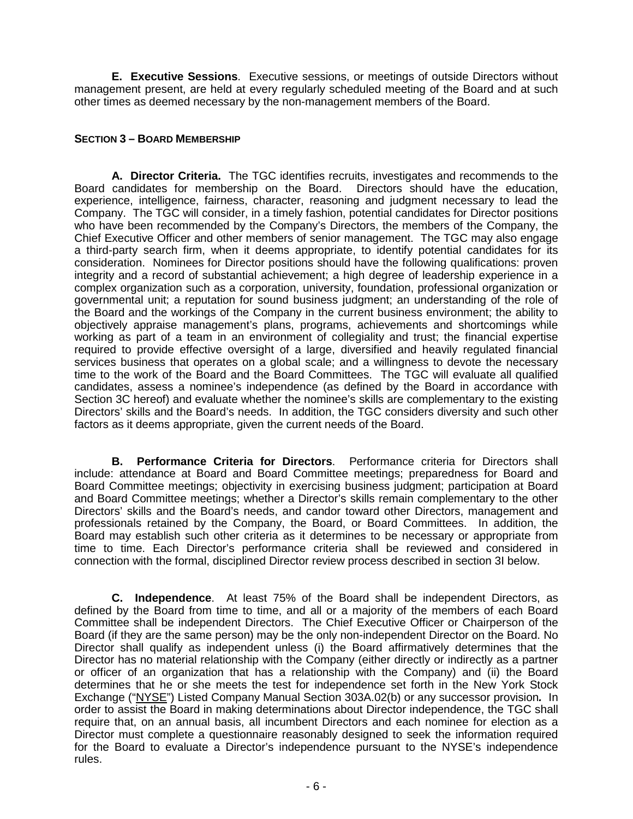**E. Executive Sessions**. Executive sessions, or meetings of outside Directors without management present, are held at every regularly scheduled meeting of the Board and at such other times as deemed necessary by the non-management members of the Board.

## **SECTION 3 – BOARD MEMBERSHIP**

**A. Director Criteria.** The TGC identifies recruits, investigates and recommends to the Board candidates for membership on the Board. Directors should have the education, experience, intelligence, fairness, character, reasoning and judgment necessary to lead the Company. The TGC will consider, in a timely fashion, potential candidates for Director positions who have been recommended by the Company's Directors, the members of the Company, the Chief Executive Officer and other members of senior management. The TGC may also engage a third-party search firm, when it deems appropriate, to identify potential candidates for its consideration. Nominees for Director positions should have the following qualifications: proven integrity and a record of substantial achievement; a high degree of leadership experience in a complex organization such as a corporation, university, foundation, professional organization or governmental unit; a reputation for sound business judgment; an understanding of the role of the Board and the workings of the Company in the current business environment; the ability to objectively appraise management's plans, programs, achievements and shortcomings while working as part of a team in an environment of collegiality and trust; the financial expertise required to provide effective oversight of a large, diversified and heavily regulated financial services business that operates on a global scale; and a willingness to devote the necessary time to the work of the Board and the Board Committees. The TGC will evaluate all qualified candidates, assess a nominee's independence (as defined by the Board in accordance with Section 3C hereof) and evaluate whether the nominee's skills are complementary to the existing Directors' skills and the Board's needs. In addition, the TGC considers diversity and such other factors as it deems appropriate, given the current needs of the Board.

**B. Performance Criteria for Directors**. Performance criteria for Directors shall include: attendance at Board and Board Committee meetings; preparedness for Board and Board Committee meetings; objectivity in exercising business judgment; participation at Board and Board Committee meetings; whether a Director's skills remain complementary to the other Directors' skills and the Board's needs, and candor toward other Directors, management and professionals retained by the Company, the Board, or Board Committees. In addition, the Board may establish such other criteria as it determines to be necessary or appropriate from time to time. Each Director's performance criteria shall be reviewed and considered in connection with the formal, disciplined Director review process described in section 3I below.

**C. Independence**. At least 75% of the Board shall be independent Directors, as defined by the Board from time to time, and all or a majority of the members of each Board Committee shall be independent Directors. The Chief Executive Officer or Chairperson of the Board (if they are the same person) may be the only non-independent Director on the Board. No Director shall qualify as independent unless (i) the Board affirmatively determines that the Director has no material relationship with the Company (either directly or indirectly as a partner or officer of an organization that has a relationship with the Company) and (ii) the Board determines that he or she meets the test for independence set forth in the New York Stock Exchange ("NYSE") Listed Company Manual Section 303A.02(b) or any successor provision*.* In order to assist the Board in making determinations about Director independence, the TGC shall require that, on an annual basis, all incumbent Directors and each nominee for election as a Director must complete a questionnaire reasonably designed to seek the information required for the Board to evaluate a Director's independence pursuant to the NYSE's independence rules.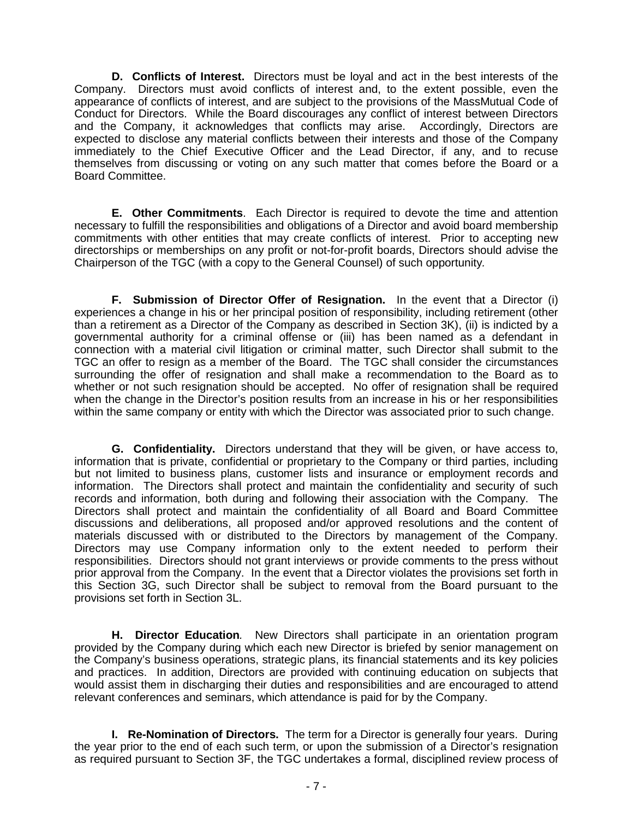**D. Conflicts of Interest.** Directors must be loyal and act in the best interests of the Company. Directors must avoid conflicts of interest and, to the extent possible, even the appearance of conflicts of interest, and are subject to the provisions of the MassMutual Code of Conduct for Directors. While the Board discourages any conflict of interest between Directors and the Company, it acknowledges that conflicts may arise. Accordingly, Directors are expected to disclose any material conflicts between their interests and those of the Company immediately to the Chief Executive Officer and the Lead Director, if any, and to recuse themselves from discussing or voting on any such matter that comes before the Board or a Board Committee.

**E. Other Commitments**. Each Director is required to devote the time and attention necessary to fulfill the responsibilities and obligations of a Director and avoid board membership commitments with other entities that may create conflicts of interest. Prior to accepting new directorships or memberships on any profit or not-for-profit boards, Directors should advise the Chairperson of the TGC (with a copy to the General Counsel) of such opportunity*.* 

**F. Submission of Director Offer of Resignation.** In the event that a Director (i) experiences a change in his or her principal position of responsibility, including retirement (other than a retirement as a Director of the Company as described in Section 3K), (ii) is indicted by a governmental authority for a criminal offense or (iii) has been named as a defendant in connection with a material civil litigation or criminal matter, such Director shall submit to the TGC an offer to resign as a member of the Board. The TGC shall consider the circumstances surrounding the offer of resignation and shall make a recommendation to the Board as to whether or not such resignation should be accepted. No offer of resignation shall be required when the change in the Director's position results from an increase in his or her responsibilities within the same company or entity with which the Director was associated prior to such change.

**G. Confidentiality.** Directors understand that they will be given, or have access to, information that is private, confidential or proprietary to the Company or third parties, including but not limited to business plans, customer lists and insurance or employment records and information. The Directors shall protect and maintain the confidentiality and security of such records and information, both during and following their association with the Company. The Directors shall protect and maintain the confidentiality of all Board and Board Committee discussions and deliberations, all proposed and/or approved resolutions and the content of materials discussed with or distributed to the Directors by management of the Company. Directors may use Company information only to the extent needed to perform their responsibilities. Directors should not grant interviews or provide comments to the press without prior approval from the Company. In the event that a Director violates the provisions set forth in this Section 3G, such Director shall be subject to removal from the Board pursuant to the provisions set forth in Section 3L.

**H. Director Education***.* New Directors shall participate in an orientation program provided by the Company during which each new Director is briefed by senior management on the Company's business operations, strategic plans, its financial statements and its key policies and practices. In addition, Directors are provided with continuing education on subjects that would assist them in discharging their duties and responsibilities and are encouraged to attend relevant conferences and seminars, which attendance is paid for by the Company.

**I. Re-Nomination of Directors.** The term for a Director is generally four years. During the year prior to the end of each such term, or upon the submission of a Director's resignation as required pursuant to Section 3F, the TGC undertakes a formal, disciplined review process of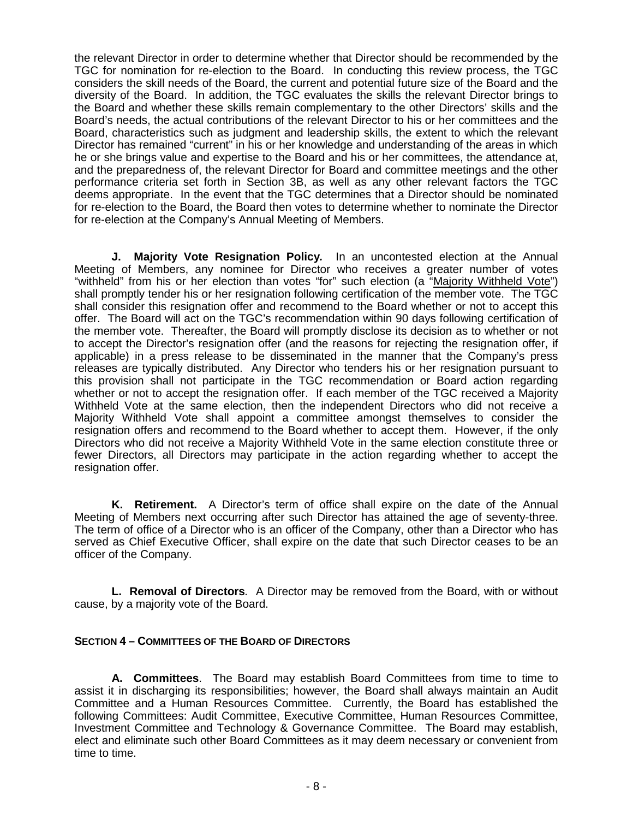the relevant Director in order to determine whether that Director should be recommended by the TGC for nomination for re-election to the Board. In conducting this review process, the TGC considers the skill needs of the Board, the current and potential future size of the Board and the diversity of the Board. In addition, the TGC evaluates the skills the relevant Director brings to the Board and whether these skills remain complementary to the other Directors' skills and the Board's needs, the actual contributions of the relevant Director to his or her committees and the Board, characteristics such as judgment and leadership skills, the extent to which the relevant Director has remained "current" in his or her knowledge and understanding of the areas in which he or she brings value and expertise to the Board and his or her committees, the attendance at, and the preparedness of, the relevant Director for Board and committee meetings and the other performance criteria set forth in Section 3B, as well as any other relevant factors the TGC deems appropriate. In the event that the TGC determines that a Director should be nominated for re-election to the Board, the Board then votes to determine whether to nominate the Director for re-election at the Company's Annual Meeting of Members.

**J. Majority Vote Resignation Policy***.* In an uncontested election at the Annual Meeting of Members, any nominee for Director who receives a greater number of votes "withheld" from his or her election than votes "for" such election (a "Majority Withheld Vote") shall promptly tender his or her resignation following certification of the member vote. The TGC shall consider this resignation offer and recommend to the Board whether or not to accept this offer. The Board will act on the TGC's recommendation within 90 days following certification of the member vote. Thereafter, the Board will promptly disclose its decision as to whether or not to accept the Director's resignation offer (and the reasons for rejecting the resignation offer, if applicable) in a press release to be disseminated in the manner that the Company's press releases are typically distributed. Any Director who tenders his or her resignation pursuant to this provision shall not participate in the TGC recommendation or Board action regarding whether or not to accept the resignation offer. If each member of the TGC received a Majority Withheld Vote at the same election, then the independent Directors who did not receive a Majority Withheld Vote shall appoint a committee amongst themselves to consider the resignation offers and recommend to the Board whether to accept them. However, if the only Directors who did not receive a Majority Withheld Vote in the same election constitute three or fewer Directors, all Directors may participate in the action regarding whether to accept the resignation offer.

**K. Retirement.** A Director's term of office shall expire on the date of the Annual Meeting of Members next occurring after such Director has attained the age of seventy-three. The term of office of a Director who is an officer of the Company, other than a Director who has served as Chief Executive Officer, shall expire on the date that such Director ceases to be an officer of the Company.

**L. Removal of Directors***.* A Director may be removed from the Board, with or without cause, by a majority vote of the Board.

## **SECTION 4 – COMMITTEES OF THE BOARD OF DIRECTORS**

**A. Committees**. The Board may establish Board Committees from time to time to assist it in discharging its responsibilities; however, the Board shall always maintain an Audit Committee and a Human Resources Committee. Currently, the Board has established the following Committees: Audit Committee, Executive Committee, Human Resources Committee, Investment Committee and Technology & Governance Committee. The Board may establish, elect and eliminate such other Board Committees as it may deem necessary or convenient from time to time.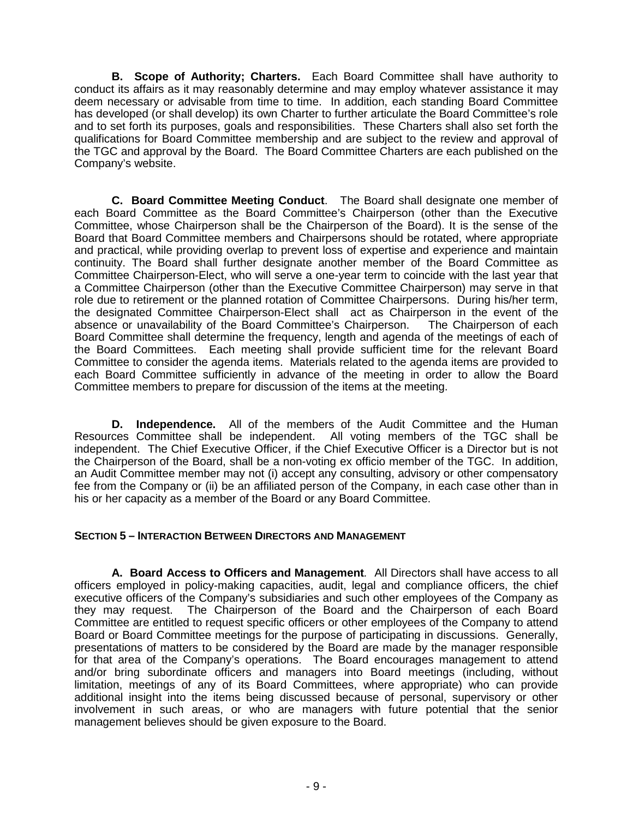**B. Scope of Authority; Charters.** Each Board Committee shall have authority to conduct its affairs as it may reasonably determine and may employ whatever assistance it may deem necessary or advisable from time to time. In addition, each standing Board Committee has developed (or shall develop) its own Charter to further articulate the Board Committee's role and to set forth its purposes, goals and responsibilities. These Charters shall also set forth the qualifications for Board Committee membership and are subject to the review and approval of the TGC and approval by the Board. The Board Committee Charters are each published on the Company's website.

**C. Board Committee Meeting Conduct**. The Board shall designate one member of each Board Committee as the Board Committee's Chairperson (other than the Executive Committee, whose Chairperson shall be the Chairperson of the Board). It is the sense of the Board that Board Committee members and Chairpersons should be rotated, where appropriate and practical, while providing overlap to prevent loss of expertise and experience and maintain continuity. The Board shall further designate another member of the Board Committee as Committee Chairperson-Elect, who will serve a one-year term to coincide with the last year that a Committee Chairperson (other than the Executive Committee Chairperson) may serve in that role due to retirement or the planned rotation of Committee Chairpersons. During his/her term, the designated Committee Chairperson-Elect shall act as Chairperson in the event of the absence or unavailability of the Board Committee's Chairperson. The Chairperson of each Board Committee shall determine the frequency, length and agenda of the meetings of each of the Board Committees. Each meeting shall provide sufficient time for the relevant Board Committee to consider the agenda items. Materials related to the agenda items are provided to each Board Committee sufficiently in advance of the meeting in order to allow the Board Committee members to prepare for discussion of the items at the meeting.

**D. Independence.** All of the members of the Audit Committee and the Human Resources Committee shall be independent. All voting members of the TGC shall be independent. The Chief Executive Officer, if the Chief Executive Officer is a Director but is not the Chairperson of the Board, shall be a non-voting ex officio member of the TGC. In addition, an Audit Committee member may not (i) accept any consulting, advisory or other compensatory fee from the Company or (ii) be an affiliated person of the Company, in each case other than in his or her capacity as a member of the Board or any Board Committee.

## **SECTION 5 – INTERACTION BETWEEN DIRECTORS AND MANAGEMENT**

**A. Board Access to Officers and Management***.* All Directors shall have access to all officers employed in policy-making capacities, audit, legal and compliance officers, the chief executive officers of the Company's subsidiaries and such other employees of the Company as they may request. The Chairperson of the Board and the Chairperson of each Board Committee are entitled to request specific officers or other employees of the Company to attend Board or Board Committee meetings for the purpose of participating in discussions. Generally, presentations of matters to be considered by the Board are made by the manager responsible for that area of the Company's operations. The Board encourages management to attend and/or bring subordinate officers and managers into Board meetings (including, without limitation, meetings of any of its Board Committees, where appropriate) who can provide additional insight into the items being discussed because of personal, supervisory or other involvement in such areas, or who are managers with future potential that the senior management believes should be given exposure to the Board.